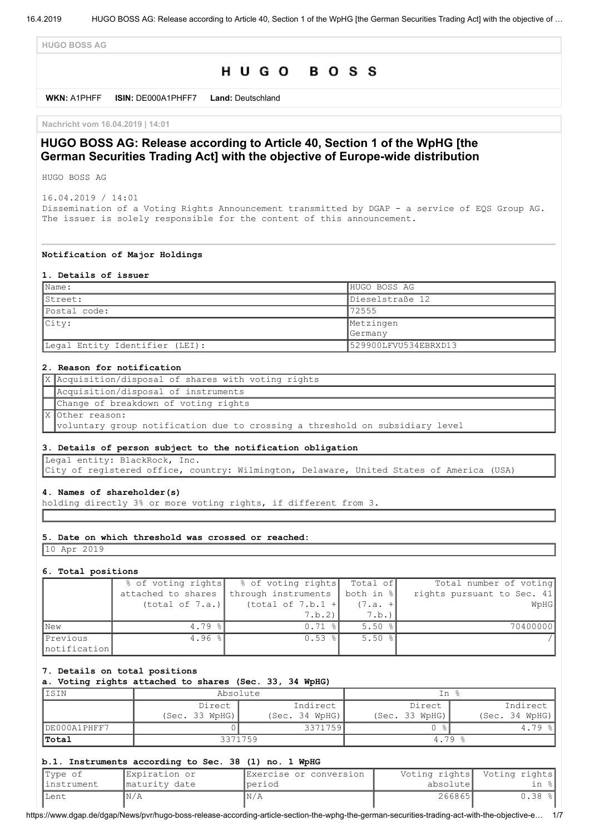**HUGO BOSS AG**

# HUGO BOSS

**WKN:** A1PHFF **ISIN:** DE000A1PHFF7 **Land:** Deutschland

**Nachricht vom 16.04.2019 | 14:01**

# **HUGO BOSS AG: Release according to Article 40, Section 1 of the WpHG [the German Securities Trading Act] with the objective of Europe-wide distribution**

HUGO BOSS AG

16.04.2019 / 14:01 Dissemination of a Voting Rights Announcement transmitted by DGAP - a service of EQS Group AG. The issuer is solely responsible for the content of this announcement.

#### **Notification of Major Holdings**

#### **1. Details of issuer**

| $\mathbb{N}$ ame:              | HUGO BOSS AG         |  |
|--------------------------------|----------------------|--|
| IStreet:                       | Dieselstraße 12      |  |
| Postal code:                   | 72555                |  |
| City:                          | Metzingen            |  |
|                                | <b>Germany</b>       |  |
| Legal Entity Identifier (LEI): | 529900LFVU534EBRXD13 |  |

### **2. Reason for notification**

| X Acquisition/disposal of shares with voting rights                          |
|------------------------------------------------------------------------------|
| Acquisition/disposal of instruments                                          |
| Change of breakdown of voting rights                                         |
| X Other reason:                                                              |
| voluntary group notification due to crossing a threshold on subsidiary level |

#### **3. Details of person subject to the notification obligation**

Legal entity: BlackRock, Inc.

City of registered office, country: Wilmington, Delaware, United States of America (USA)

#### **4. Names of shareholder(s)**

holding directly 3% or more voting rights, if different from 3.

### **5. Date on which threshold was crossed or reached:**

10 Apr 2019

#### **6. Total positions**

|                          | % of voting rights | % of voting rights   | Total of             | Total number of voting     |
|--------------------------|--------------------|----------------------|----------------------|----------------------------|
|                          | attached to shares | through instruments  | both in %            | rights pursuant to Sec. 41 |
|                          | (total of 7.a.)    | (total of $7.b.1 +$  | $(7.a. +$            | WpHG                       |
|                          |                    | 7.b.2                | 7.b.                 |                            |
| <b>New</b>               | 4.79 $\frac{8}{9}$ | $0.71$ $\frac{8}{1}$ | $5.50$ $\frac{8}{3}$ | 70400000                   |
| Previous<br>notification | 4.96 $\frac{8}{3}$ | $0.53$ $\frac{8}{1}$ | 5.50%                |                            |

### **7. Details on total positions**

**a. Voting rights attached to shares (Sec. 33, 34 WpHG)**

| ISIN         | Absolute       |                | In %           |                |  |
|--------------|----------------|----------------|----------------|----------------|--|
|              | Direct         | Indirect       | Direct         | Indirect       |  |
|              | (Sec. 33 WpHG) | (Sec. 34 WpHG) | (Sec. 33 WpHG) | (Sec. 34 WpHG) |  |
| DE000A1PHFF7 |                | 3371759        |                | 4.79 %         |  |
| <b>Total</b> |                | 3371759        | $4.79*$        |                |  |

#### **b.1. Instruments according to Sec. 38 (1) no. 1 WpHG**

| Type of     | Expiration or | IExercise or conversion |           | Voting rights  Voting rights |
|-------------|---------------|-------------------------|-----------|------------------------------|
| linstrument | maturity date | Iperiod                 | absolutel | in %l                        |
| lLent       | 'N/A          | N/A                     | 266865    | $0.38$ $\frac{8}{10}$        |

https://www.dgap.de/dgap/News/pvr/hugo-boss-release-according-article-section-the-wphg-the-german-securities-trading-act-with-the-objective-e… 1/7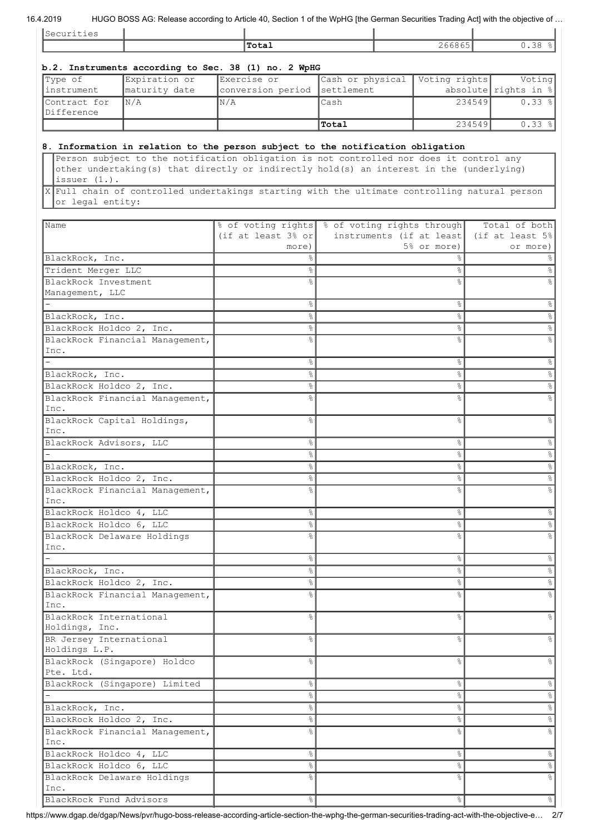## 16.4.2019 HUGO BOSS AG: Release according to Article 40, Section 1 of the WpHG [the German Securities Trading Act] with the objective of …

| Securities                                |                                 | Total                                                                                                                                                                                                                                                                                                                                                                   |                  | 266865                                  |        | 0.38%                            |
|-------------------------------------------|---------------------------------|-------------------------------------------------------------------------------------------------------------------------------------------------------------------------------------------------------------------------------------------------------------------------------------------------------------------------------------------------------------------------|------------------|-----------------------------------------|--------|----------------------------------|
|                                           |                                 |                                                                                                                                                                                                                                                                                                                                                                         |                  |                                         |        |                                  |
|                                           |                                 | b.2. Instruments according to Sec. 38 (1) no. 2 WpHG                                                                                                                                                                                                                                                                                                                    |                  |                                         |        |                                  |
| Type of                                   | Expiration or                   | Exercise or                                                                                                                                                                                                                                                                                                                                                             | Cash or physical | Voting rights                           |        | Voting                           |
| instrument                                | maturity date                   | conversion period                                                                                                                                                                                                                                                                                                                                                       | settlement       |                                         |        | absolute rights in $\frac{1}{2}$ |
| Contract for<br>Difference                | N/A                             | N/A                                                                                                                                                                                                                                                                                                                                                                     | Cash             |                                         | 234549 | $0.33$ %                         |
|                                           |                                 |                                                                                                                                                                                                                                                                                                                                                                         | Total            |                                         | 234549 | 0.33%                            |
|                                           |                                 |                                                                                                                                                                                                                                                                                                                                                                         |                  |                                         |        |                                  |
| issuer $(1.)$ .<br>or legal entity:       |                                 | 8. Information in relation to the person subject to the notification obligation<br>Person subject to the notification obligation is not controlled nor does it control any<br>other undertaking(s) that directly or indirectly hold(s) an interest in the (underlying)<br>X Full chain of controlled undertakings starting with the ultimate controlling natural person |                  |                                         |        |                                  |
|                                           |                                 |                                                                                                                                                                                                                                                                                                                                                                         |                  |                                         |        |                                  |
| Name                                      |                                 | % of voting rights & of voting rights through                                                                                                                                                                                                                                                                                                                           |                  |                                         |        | Total of both                    |
|                                           |                                 | (if at least $3\frac{6}{5}$ or                                                                                                                                                                                                                                                                                                                                          |                  | instruments (if at least<br>5% or more) |        | (if at least 5%)                 |
|                                           |                                 | more)<br>⊱                                                                                                                                                                                                                                                                                                                                                              |                  | ⊱                                       |        | or more)                         |
| BlackRock, Inc.<br>Trident Merger LLC     |                                 | 옹                                                                                                                                                                                                                                                                                                                                                                       |                  | 옹                                       |        |                                  |
| BlackRock Investment                      |                                 | 욲                                                                                                                                                                                                                                                                                                                                                                       |                  | ٥Ŗ                                      |        |                                  |
| Management, LLC                           |                                 |                                                                                                                                                                                                                                                                                                                                                                         |                  |                                         |        |                                  |
|                                           |                                 | &                                                                                                                                                                                                                                                                                                                                                                       |                  | &                                       |        |                                  |
| BlackRock, Inc.                           |                                 | 옹                                                                                                                                                                                                                                                                                                                                                                       |                  | °                                       |        |                                  |
| BlackRock Holdco 2, Inc.                  |                                 | 옹                                                                                                                                                                                                                                                                                                                                                                       |                  | နွ                                      |        |                                  |
|                                           | BlackRock Financial Management, | ٥Ŗ                                                                                                                                                                                                                                                                                                                                                                      |                  | ٥Ŗ                                      |        |                                  |
| Inc.                                      |                                 |                                                                                                                                                                                                                                                                                                                                                                         |                  |                                         |        |                                  |
|                                           |                                 | ⊱                                                                                                                                                                                                                                                                                                                                                                       |                  | &                                       |        |                                  |
| BlackRock, Inc.                           |                                 | ⊱                                                                                                                                                                                                                                                                                                                                                                       |                  | &                                       |        |                                  |
| BlackRock Holdco 2, Inc.                  |                                 | °                                                                                                                                                                                                                                                                                                                                                                       |                  | g                                       |        |                                  |
| Inc.                                      | BlackRock Financial Management, | ٥Ŗ                                                                                                                                                                                                                                                                                                                                                                      |                  | ٥Ŗ                                      |        |                                  |
|                                           | BlackRock Capital Holdings,     | ٩,                                                                                                                                                                                                                                                                                                                                                                      |                  | ٩,                                      |        |                                  |
| Inc.<br>BlackRock Advisors, LLC           |                                 | 옹                                                                                                                                                                                                                                                                                                                                                                       |                  | &                                       |        |                                  |
|                                           |                                 | °                                                                                                                                                                                                                                                                                                                                                                       |                  | s,                                      |        |                                  |
| BlackRock, Inc.                           |                                 | $\frac{1}{2}$                                                                                                                                                                                                                                                                                                                                                           |                  | 유                                       |        |                                  |
| BlackRock Holdco 2, Inc.                  |                                 | 옹                                                                                                                                                                                                                                                                                                                                                                       |                  | g.                                      |        |                                  |
| Inc.                                      | BlackRock Financial Management, | ⊱                                                                                                                                                                                                                                                                                                                                                                       |                  | ٥Ŗ                                      |        |                                  |
| BlackRock Holdco 4, LLC                   |                                 | $\frac{6}{3}$                                                                                                                                                                                                                                                                                                                                                           |                  | 응                                       |        |                                  |
| BlackRock Holdco 6, LLC                   |                                 | 옹                                                                                                                                                                                                                                                                                                                                                                       |                  | °                                       |        |                                  |
| Inc.                                      | BlackRock Delaware Holdings     | ٥Ŗ                                                                                                                                                                                                                                                                                                                                                                      |                  | ٥Ŗ                                      |        |                                  |
|                                           |                                 | 옹                                                                                                                                                                                                                                                                                                                                                                       |                  | $\frac{6}{6}$                           |        |                                  |
| BlackRock, Inc.                           |                                 | 옹                                                                                                                                                                                                                                                                                                                                                                       |                  | °                                       |        |                                  |
| BlackRock Holdco 2, Inc.                  |                                 | 옹                                                                                                                                                                                                                                                                                                                                                                       |                  | နွ                                      |        |                                  |
| Inc.                                      | BlackRock Financial Management, | g                                                                                                                                                                                                                                                                                                                                                                       |                  | $\frac{6}{10}$                          |        |                                  |
| BlackRock International<br>Holdings, Inc. |                                 | $\frac{6}{6}$                                                                                                                                                                                                                                                                                                                                                           |                  | $\frac{6}{2}$                           |        |                                  |
| BR Jersey International<br>Holdings L.P.  |                                 | g.                                                                                                                                                                                                                                                                                                                                                                      |                  | &                                       |        |                                  |
| Pte. Ltd.                                 | BlackRock (Singapore) Holdco    | 옹                                                                                                                                                                                                                                                                                                                                                                       |                  | $\frac{6}{6}$                           |        |                                  |
|                                           | BlackRock (Singapore) Limited   | 옹                                                                                                                                                                                                                                                                                                                                                                       |                  | &                                       |        |                                  |
|                                           |                                 | 옹                                                                                                                                                                                                                                                                                                                                                                       |                  | &                                       |        |                                  |
| BlackRock, Inc.                           |                                 | 옹                                                                                                                                                                                                                                                                                                                                                                       |                  | s,                                      |        |                                  |
| BlackRock Holdco 2, Inc.                  | BlackRock Financial Management, | 옹<br>g                                                                                                                                                                                                                                                                                                                                                                  |                  | နွ<br>g<br>6                            |        |                                  |
| Inc.                                      |                                 |                                                                                                                                                                                                                                                                                                                                                                         |                  |                                         |        |                                  |
| BlackRock Holdco 4, LLC                   |                                 | &                                                                                                                                                                                                                                                                                                                                                                       |                  | $\frac{6}{6}$                           |        |                                  |
| BlackRock Holdco 6, LLC                   | BlackRock Delaware Holdings     | 옹<br>٥Ŗ                                                                                                                                                                                                                                                                                                                                                                 |                  | နွ<br>٥Ŗ                                |        |                                  |
| Inc.                                      |                                 |                                                                                                                                                                                                                                                                                                                                                                         |                  |                                         |        |                                  |
|                                           |                                 |                                                                                                                                                                                                                                                                                                                                                                         |                  |                                         |        |                                  |

https://www.dgap.de/dgap/News/pvr/hugo-boss-release-according-article-section-the-wphg-the-german-securities-trading-act-with-the-objective-e… 2/7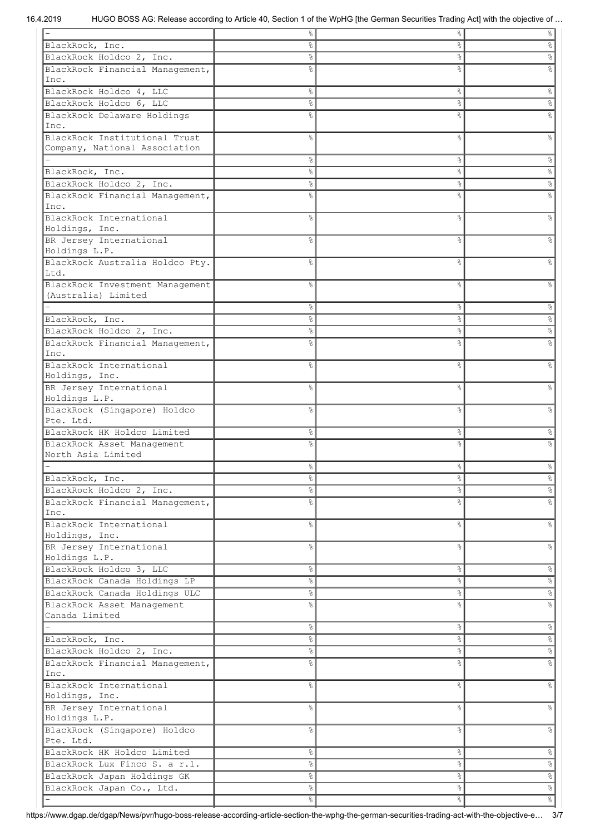|                                                        | 옹             | &             | $\frac{1}{6}$        |
|--------------------------------------------------------|---------------|---------------|----------------------|
| BlackRock, Inc.                                        | o.            | g<br>6        | $\%$                 |
| BlackRock Holdco 2, Inc.                               | o.            | $\%$          | &                    |
| BlackRock Financial Management,                        | 응             | 8             | ٥Ŗ                   |
| Inc.                                                   |               |               |                      |
| BlackRock Holdco 4, LLC                                | °             | $\%$          | &                    |
| BlackRock Holdco 6, LLC                                | e<br>8        | s,            | e<br>8               |
|                                                        |               |               |                      |
| BlackRock Delaware Holdings                            | 응             | &             |                      |
| Inc.                                                   |               |               |                      |
| BlackRock Institutional Trust                          | ⊱             | &             | g,                   |
| Company, National Association                          |               |               |                      |
|                                                        | ⊱             | $\%$          | 옹                    |
| BlackRock, Inc.                                        | g             | &             | နွ                   |
| BlackRock Holdco 2, Inc.                               | 옹             | &             | °                    |
| BlackRock Financial Management,                        |               | g<br>6        | 응                    |
| Inc.                                                   |               |               |                      |
| BlackRock International                                | g             | $\frac{6}{6}$ | g                    |
| Holdings, Inc.                                         |               |               |                      |
| BR Jersey International                                | ⊱             | &             | g                    |
| Holdings L.P.                                          |               |               |                      |
| BlackRock Australia Holdco Pty.                        | ⊱             | g,            | ℅                    |
| Ltd.                                                   |               |               |                      |
|                                                        | ⊱             | g<br>6        | ٥Ŗ                   |
| BlackRock Investment Management<br>(Australia) Limited |               |               |                      |
|                                                        |               |               |                      |
|                                                        | o.            | $\%$          | $\%$                 |
| BlackRock, Inc.                                        | g             | $\%$          | နွ                   |
| BlackRock Holdco 2, Inc.                               | ⊱             | နွ            | °                    |
| BlackRock Financial Management,                        |               | g,            |                      |
| Inc.                                                   |               |               |                      |
| BlackRock International                                | 욲             | &             | ٥R                   |
| Holdings, Inc.                                         |               |               |                      |
| BR Jersey International                                | ⊱             | &             | g                    |
| Holdings L.P.                                          |               |               |                      |
| BlackRock (Singapore) Holdco                           | ⊱             | နွ            | g                    |
| Pte. Ltd.                                              |               |               |                      |
| BlackRock HK Holdco Limited                            | ⊱             | ိင            | 옹                    |
|                                                        |               |               |                      |
| BlackRock Asset Management<br>North Asia Limited       |               | g,            |                      |
|                                                        |               |               |                      |
|                                                        | ⊱             | 옹             | g                    |
| BlackRock, Inc.                                        | $\frac{1}{6}$ | ိင            | %                    |
| BlackRock Holdco 2, Inc.                               | $\frac{8}{6}$ | s,            | $\frac{8}{6}$        |
| BlackRock Financial Management,                        | ⊱             | °             | e<br>8               |
| Inc.                                                   |               |               |                      |
| BlackRock International                                | 옹             | &             | &                    |
| Holdings, Inc.                                         |               |               |                      |
| BR Jersey International                                | g             | နွ            | &                    |
| Holdings L.P.                                          |               |               |                      |
| BlackRock Holdco 3, LLC                                | 옹             | $\%$          | °                    |
| BlackRock Canada Holdings LP                           | 응             | $\%$          | °                    |
|                                                        |               |               |                      |
| BlackRock Canada Holdings ULC                          | 응             | နွ            | °                    |
| BlackRock Asset Management                             | ⊱             | 8             | s,                   |
| Canada Limited                                         |               |               |                      |
|                                                        | °             | $\%$          | $\frac{8}{6}$        |
| BlackRock, Inc.                                        | $\frac{8}{6}$ | $\%$          | $\%$                 |
| BlackRock Holdco 2, Inc.                               | $\frac{6}{3}$ | $\%$          | $\%$                 |
| BlackRock Financial Management,                        | ٥Ŗ            | 8             | e.                   |
| Inc.                                                   |               |               |                      |
| BlackRock International                                | g             | 8             | နွ                   |
| Holdings, Inc.                                         |               |               |                      |
| BR Jersey International                                | ⊱             | &             | e<br>8               |
| Holdings L.P.                                          |               |               |                      |
| BlackRock (Singapore) Holdco                           | ٥Ŗ            | &             | g.                   |
| Pte. Ltd.                                              |               |               |                      |
| BlackRock HK Holdco Limited                            | $\frac{6}{3}$ | $\frac{8}{6}$ | $\frac{6}{5}$        |
|                                                        |               |               |                      |
| BlackRock Lux Finco S. a r.l.                          | $\frac{8}{6}$ | $\%$          | $\frac{1}{\sqrt{2}}$ |
| BlackRock Japan Holdings GK                            | $\frac{8}{6}$ | $\%$          | $\frac{1}{\sqrt{2}}$ |
| BlackRock Japan Co., Ltd.                              | $\frac{8}{6}$ | $\%$          | $\frac{1}{\sqrt{2}}$ |
|                                                        | $\frac{8}{6}$ | $\%$          | $\frac{1}{\sqrt{2}}$ |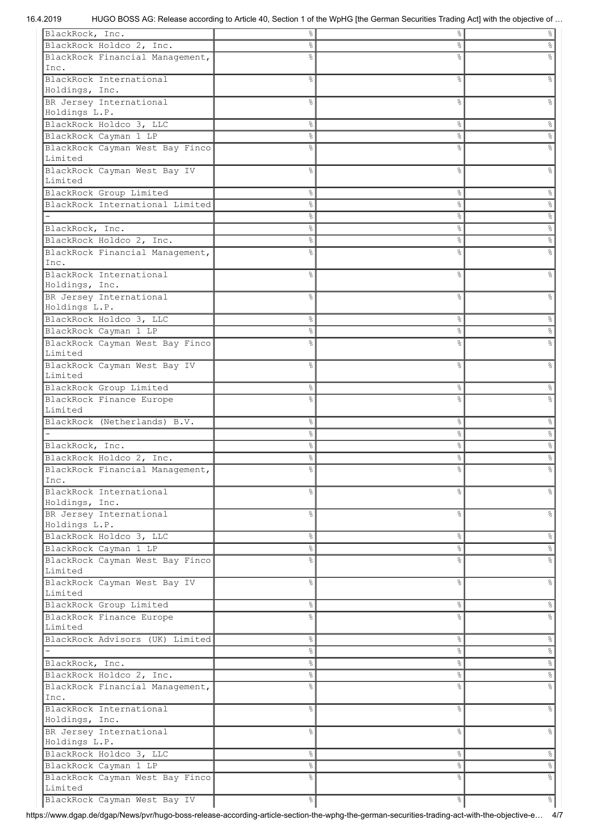| BlackRock, Inc.                         | g             | °              | $\%$           |
|-----------------------------------------|---------------|----------------|----------------|
| BlackRock Holdco 2, Inc.                | g             | &              | 응              |
| BlackRock Financial Management,         | ⊱             | &              |                |
| Inc.                                    |               |                |                |
|                                         |               |                |                |
| BlackRock International                 | g.            | နွ             | g              |
| Holdings, Inc.                          |               |                |                |
| BR Jersey International                 | ిక            | 옹              | ిం             |
| Holdings L.P.                           |               |                |                |
| BlackRock Holdco 3, LLC                 | 옹             | °              | g.             |
| BlackRock Cayman 1 LP                   | 옹             | $\%$           | e,             |
|                                         | g             | &              |                |
| BlackRock Cayman West Bay Finco         |               |                |                |
| Limited                                 |               |                |                |
| BlackRock Cayman West Bay IV            | g             | $\%$           | g              |
| Limited                                 |               |                |                |
| BlackRock Group Limited                 | နွ            | °              | &              |
| BlackRock International Limited         | 옹             | °              | e,             |
|                                         | 옹             | 응              | $\%$           |
|                                         |               |                |                |
| BlackRock, Inc.                         | 옹             | °              | $\%$           |
| BlackRock Holdco 2, Inc.                | 옹             | °              | e <sub>o</sub> |
| BlackRock Financial Management,         | g.            | &              |                |
| Inc.                                    |               |                |                |
| BlackRock International                 | g.            | &              | ిం             |
| Holdings, Inc.                          |               |                |                |
| BR Jersey International                 | ٥R            | o <sub>o</sub> |                |
| Holdings L.P.                           |               |                |                |
|                                         |               |                |                |
| BlackRock Holdco 3, LLC                 | &             | $\frac{8}{6}$  |                |
| BlackRock Cayman 1 LP                   | ⊱             | နွ             |                |
| BlackRock Cayman West Bay Finco         |               | g,             |                |
| Limited                                 |               |                |                |
| BlackRock Cayman West Bay IV            | g.            | နွ             | g              |
| Limited                                 |               |                |                |
| BlackRock Group Limited                 | 옹             | နွ             | g.             |
|                                         |               |                |                |
| BlackRock Finance Europe                | ℅             | g              |                |
| Limited                                 |               |                |                |
| BlackRock (Netherlands) B.V.            | 옹             | °              | g.             |
|                                         | ⊱             | $\%$           | 옹              |
| BlackRock, Inc.                         | ⊱             | $\%$           | °              |
| BlackRock Holdco 2, Inc.                | ⊱             | °              | &              |
|                                         |               |                |                |
| BlackRock Financial Management,         | ⊱             | $\%$           | e<br>8         |
| Inc.                                    |               |                |                |
| BlackRock International                 | 옹             | g.             | e<br>8         |
| Holdings, Inc.                          |               |                |                |
| BR Jersey International                 | g.            |                |                |
| Holdings L.P.                           |               | °              | e<br>8         |
| BlackRock Holdco 3, LLC                 |               |                |                |
|                                         |               |                |                |
|                                         | 옹             | °              | &              |
| BlackRock Cayman 1 LP                   | 옹             | $\%$           | s,             |
| BlackRock Cayman West Bay Finco         | g.            | g.             | s,             |
| Limited                                 |               |                |                |
| BlackRock Cayman West Bay IV            | 옹             | g.             | e<br>8         |
| Limited                                 |               |                |                |
| BlackRock Group Limited                 | 옹             | °              | s,             |
|                                         |               |                |                |
| BlackRock Finance Europe                | g<br>6        | &              |                |
| Limited                                 |               |                |                |
| BlackRock Advisors (UK) Limited         | 옹             | °              | $\epsilon$     |
|                                         | 옹             | °              | $\%$           |
| BlackRock, Inc.                         | 옹             | °              | $\%$           |
|                                         | 옹             | °              | $\%$           |
| BlackRock Holdco 2, Inc.                |               |                |                |
| BlackRock Financial Management,         | ٥Ŗ            | o <sub>o</sub> |                |
| Inc.                                    |               |                |                |
| BlackRock International                 | ⊱             | g.             | s,             |
| Holdings, Inc.                          |               |                |                |
| BR Jersey International                 | g             | g.             | 응              |
| Holdings L.P.                           |               |                |                |
| BlackRock Holdco 3, LLC                 | $\frac{6}{3}$ | °              | °              |
|                                         |               |                |                |
| BlackRock Cayman 1 LP                   | 옹             | °              | %              |
| BlackRock Cayman West Bay Finco         | 옹             | &              |                |
| Limited<br>BlackRock Cayman West Bay IV | $\frac{1}{6}$ | &              | $\frac{6}{5}$  |

https://www.dgap.de/dgap/News/pvr/hugo-boss-release-according-article-section-the-wphg-the-german-securities-trading-act-with-the-objective-e… 4/7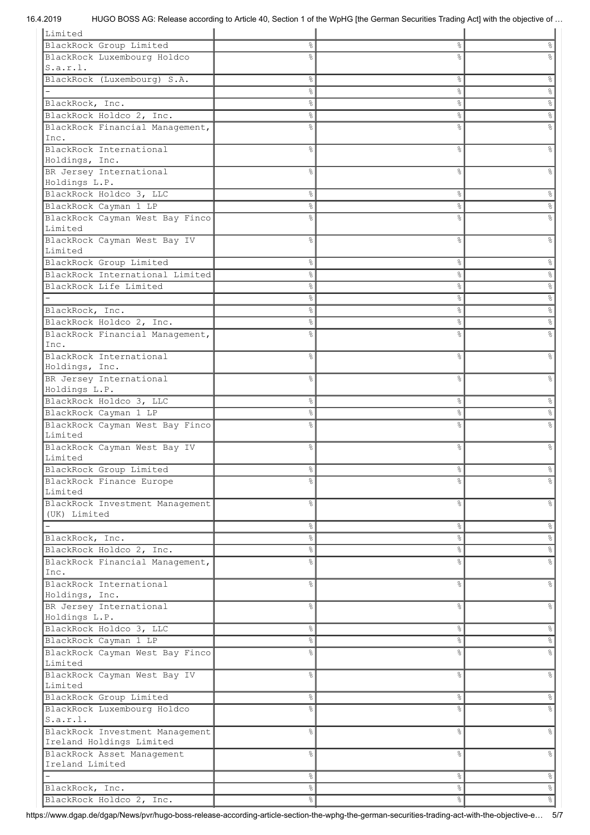| Limited                         |               |               |                      |
|---------------------------------|---------------|---------------|----------------------|
| BlackRock Group Limited         | ٥ę            | ိင            | g                    |
| BlackRock Luxembourg Holdco     |               | g,            |                      |
| S.a.r.l.                        |               |               |                      |
| BlackRock (Luxembourg) S.A.     | ⊱             | ိင            | န္                   |
|                                 | e<br>8        | $\%$          | 응                    |
|                                 |               |               |                      |
| BlackRock, Inc.                 | °             | $\%$          | °                    |
| BlackRock Holdco 2, Inc.        | o.            | နွ            | e,                   |
| BlackRock Financial Management, | 응             | 8             |                      |
| Inc.                            |               |               |                      |
| BlackRock International         | ⊱             | &             | g                    |
| Holdings, Inc.                  |               |               |                      |
| BR Jersey International         | ℅             | 8             |                      |
| Holdings L.P.                   |               |               |                      |
| BlackRock Holdco 3, LLC         | ٥ę            | $\%$          | 옹                    |
| BlackRock Cayman 1 LP           | g             | နွ            | 옹                    |
| BlackRock Cayman West Bay Finco |               | g             |                      |
| Limited                         |               |               |                      |
| BlackRock Cayman West Bay IV    | g             | 8             | g                    |
| Limited                         |               |               |                      |
|                                 |               |               |                      |
| BlackRock Group Limited         | 옹             | $\%$          | &                    |
| BlackRock International Limited | °             | နွ            | °                    |
| BlackRock Life Limited          | 옹             | $\%$          | $\%$                 |
|                                 | °             | $\%$          | $\frac{1}{\sqrt{2}}$ |
| BlackRock, Inc.                 | နွ            | နွ            | $\%$                 |
| BlackRock Holdco 2, Inc.        | ⊱             | နွ            | $\%$                 |
| BlackRock Financial Management, | °             | 8             |                      |
| Inc.                            |               |               |                      |
| BlackRock International         | ⊱             | 8             | ٥R                   |
| Holdings, Inc.                  |               |               |                      |
| BR Jersey International         | ٥Ŗ            | &             | ٥Ŗ                   |
| Holdings L.P.                   |               |               |                      |
|                                 |               |               |                      |
| BlackRock Holdco 3, LLC         | $\frac{6}{3}$ | $\%$          | &                    |
| BlackRock Cayman 1 LP           | e<br>8        | $\%$          | s,                   |
| BlackRock Cayman West Bay Finco | ٩,            | &             |                      |
| Limited                         |               |               |                      |
| BlackRock Cayman West Bay IV    | g.            | &             | g                    |
| Limited                         |               |               |                      |
| BlackRock Group Limited         | 응.            | နွ            |                      |
| BlackRock Finance Europe        | 욲             | 옹             |                      |
| Limited                         |               |               |                      |
| BlackRock Investment Management | ⊱             | &             | $\%$                 |
| (UK) Limited                    |               |               |                      |
|                                 | $\frac{8}{6}$ | &             | $\frac{6}{6}$        |
| BlackRock, Inc.                 | 응             | $\%$          | $\delta$             |
|                                 |               |               |                      |
| BlackRock Holdco 2, Inc.        | $\frac{8}{6}$ | $\%$          | $\infty$             |
| BlackRock Financial Management, | ٩,            | $\%$          | $\frac{8}{6}$        |
| Inc.                            |               |               |                      |
| BlackRock International         | ⊱             | $\frac{6}{6}$ | $\frac{6}{6}$        |
| Holdings, Inc.                  |               |               |                      |
| BR Jersey International         | ⊱             | $\frac{6}{6}$ | $\frac{6}{5}$        |
| Holdings L.P.                   |               |               |                      |
| BlackRock Holdco 3, LLC         | e<br>8        | $\%$          | $\frac{1}{6}$        |
| BlackRock Cayman 1 LP           | o.            | $\%$          | $\%$                 |
| BlackRock Cayman West Bay Finco | ٥Ŗ            | $\frac{6}{6}$ | &                    |
| Limited                         |               |               |                      |
| BlackRock Cayman West Bay IV    | ٩,            | $\frac{6}{6}$ | $\frac{6}{6}$        |
| Limited                         |               |               |                      |
| BlackRock Group Limited         | $\frac{6}{3}$ | $\%$          | $\frac{8}{6}$        |
|                                 |               |               |                      |
| BlackRock Luxembourg Holdco     | ⊱             | &             | $\%$                 |
| S.a.r.l.                        |               |               |                      |
| BlackRock Investment Management | ⊱             | $\frac{6}{6}$ | $\frac{6}{5}$        |
| Ireland Holdings Limited        |               |               |                      |
| BlackRock Asset Management      | $\frac{6}{5}$ | $\frac{6}{6}$ | $\%$                 |
| Ireland Limited                 |               |               |                      |
|                                 | e<br>8        | $\%$          | $\frac{1}{\sqrt{2}}$ |
| BlackRock, Inc.                 | e<br>8        | $\%$          | $\delta_0$           |
| BlackRock Holdco 2, Inc.        | $\frac{8}{6}$ | $\%$          | $\frac{1}{\sqrt{2}}$ |

https://www.dgap.de/dgap/News/pvr/hugo-boss-release-according-article-section-the-wphg-the-german-securities-trading-act-with-the-objective-e… 5/7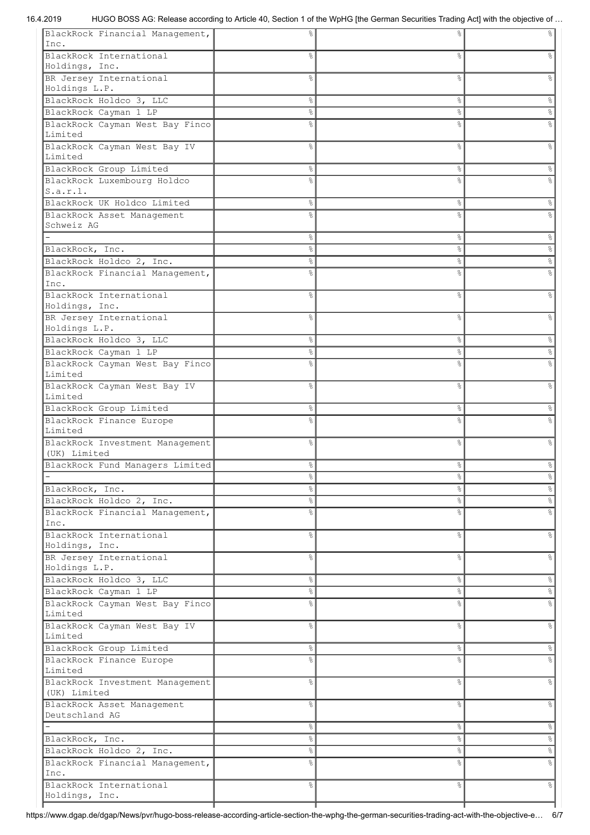| BlackRock Financial Management,           | ⊱      | &             |                      |
|-------------------------------------------|--------|---------------|----------------------|
| Inc.                                      |        |               |                      |
| BlackRock International                   | 응      | $\%$          |                      |
| Holdings, Inc.                            |        |               |                      |
| BR Jersey International                   | ٥Ŗ     | $\frac{6}{6}$ | $\frac{6}{10}$       |
|                                           |        |               |                      |
| Holdings L.P.                             |        |               |                      |
| BlackRock Holdco 3, LLC                   | 옹      | $\%$          | &                    |
| BlackRock Cayman 1 LP                     | e<br>8 | $\%$          | e<br>8               |
| BlackRock Cayman West Bay Finco           | ٥ę     | &             |                      |
| Limited                                   |        |               |                      |
| BlackRock Cayman West Bay IV              | ⊱      | ိင            | 옹                    |
| Limited                                   |        |               |                      |
| BlackRock Group Limited                   | 옹      | $\%$          | s,                   |
| BlackRock Luxembourg Holdco               | 응      | $\frac{6}{6}$ |                      |
| S.a.r.l.                                  |        |               |                      |
| BlackRock UK Holdco Limited               | 옹      | $\%$          | &                    |
| BlackRock Asset Management                | 응      | $\frac{6}{6}$ | g                    |
| Schweiz AG                                |        |               |                      |
|                                           | ٥ę     | $\%$          | °                    |
|                                           |        |               |                      |
| BlackRock, Inc.                           | 옹      | $\%$          | $\%$                 |
| BlackRock Holdco 2, Inc.                  | ٥ę     | $\%$          | °                    |
| BlackRock Financial Management,           | ٥Ŗ     | $\frac{6}{6}$ | $\frac{6}{5}$        |
| Inc.                                      |        |               |                      |
| BlackRock International                   | ℅      | &             | 옹                    |
| Holdings, Inc.                            |        |               |                      |
| BR Jersey International                   | ℅      | $\frac{6}{6}$ |                      |
| Holdings L.P.                             |        |               |                      |
| BlackRock Holdco 3, LLC                   | 옹      | $\%$          | $\%$                 |
| BlackRock Cayman 1 LP                     | 옹      | ိင            | 옹                    |
| BlackRock Cayman West Bay Finco           | 욲      | &             |                      |
| Limited                                   |        |               |                      |
| BlackRock Cayman West Bay IV              | 옹      | $\frac{6}{6}$ | 옹                    |
| Limited                                   |        |               |                      |
|                                           |        |               |                      |
| BlackRock Group Limited                   | 응      | ိင            | နွ                   |
| BlackRock Finance Europe                  | ℅      | &             | ٥R                   |
| Limited                                   |        |               |                      |
| BlackRock Investment Management           | 옹      | $\%$          | g                    |
| (UK) Limited                              |        |               |                      |
| BlackRock Fund Managers Limited           | 응      | ိင            | နွ                   |
|                                           | 응      | ိင            | $\frac{1}{6}$        |
| BlackRock, Inc.                           | 응      | $\%$          | &                    |
| BlackRock Holdco 2, Inc.                  | 응      | $\%$          | $\%$                 |
| BlackRock Financial Management,           | 옹      | &             | e<br>8               |
| Inc.                                      |        |               |                      |
| BlackRock International                   | 옹      | &             | $\frac{6}{5}$        |
| Holdings, Inc.                            |        |               |                      |
| BR Jersey International                   | 옹      | $\%$          | နွ                   |
| Holdings L.P.                             |        |               |                      |
|                                           |        |               |                      |
| BlackRock Holdco 3, LLC                   | 응      | $\%$          | %                    |
| BlackRock Cayman 1 LP                     | 옹      | $\%$          | $\%$                 |
| BlackRock Cayman West Bay Finco           | g      | $\%$          | e,                   |
| Limited                                   |        |               |                      |
| BlackRock Cayman West Bay IV              | 옹      | &             | &                    |
| Limited                                   |        |               |                      |
| BlackRock Group Limited                   | 응      | $\%$          | %                    |
| BlackRock Finance Europe                  | 욲      | &             | o,                   |
| Limited                                   |        |               |                      |
| BlackRock Investment Management           | 옹      | $\%$          | &                    |
| (UK) Limited                              |        |               |                      |
| BlackRock Asset Management                | g      | $\frac{6}{6}$ | နွ                   |
| Deutschland AG                            |        |               |                      |
|                                           | 응      | $\%$          | $\%$                 |
| BlackRock, Inc.                           | ٥ę     | $\%$          | °                    |
| BlackRock Holdco 2, Inc.                  | 응      |               | $\frac{1}{\sqrt{2}}$ |
|                                           |        | $\frac{8}{6}$ |                      |
| BlackRock Financial Management,           | 욲      | &             | o.                   |
| Inc.                                      |        |               |                      |
| BlackRock International<br>Holdings, Inc. | ٥ę     | &             | န့                   |
|                                           |        |               |                      |